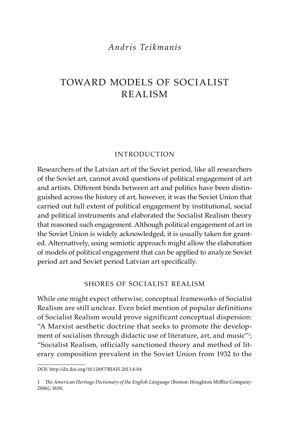## *Andris Teikmanis*

# Toward Models of Socialist Realism

#### **INTRODUCTION**

Researchers of the Latvian art of the Soviet period, like all researchers of the Soviet art, cannot avoid questions of political engagement of art and artists. Different binds between art and politics have been distinguished across the history of art, however, it was the Soviet Union that carried out full extent of political engagement by institutional, social and political instruments and elaborated the Socialist Realism theory that reasoned such engagement. Although political engagement of art in the Soviet Union is widely acknowledged, it is usually taken for granted. Alternatively, using semiotic approach might allow the elaboration of models of political engagement that can be applied to analyze Soviet period art and Soviet period Latvian art specifically.

## Shores of Socialist Realism

While one might expect otherwise, conceptual frameworks of Socialist Realism are still unclear. Even brief mention of popular definitions of Socialist Realism would prove significant conceptual dispersion: "A Marxist aesthetic doctrine that seeks to promote the development of socialism through didactic use of literature, art, and music"1 ; "Socialist Realism, officially sanctioned theory and method of literary composition prevalent in the Soviet Union from 1932 to the

DOI: http://dx.doi.org/10.12697/BJAH.2013.6.04

<sup>1</sup> *The American Heritage Dictionary of the English Language* (Boston: Houghton Mifflin Company: 2006), 1650.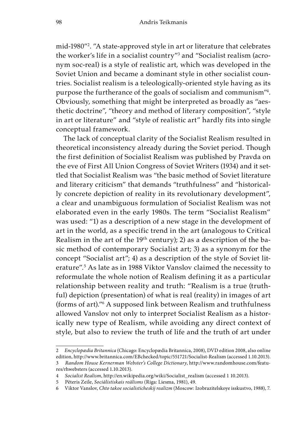mid-1980"2 . "A state-approved style in art or literature that celebrates the worker's life in a socialist country"<sup>3</sup> and "Socialist realism (acronym soc-real) is a style of realistic art, which was developed in the Soviet Union and became a dominant style in other socialist countries. Socialist realism is a teleologically-oriented style having as its purpose the furtherance of the goals of socialism and communism"4 . Obviously, something that might be interpreted as broadly as "aesthetic doctrine", "theory and method of literary composition", "style in art or literature" and "style of realistic art" hardly fits into single conceptual framework.

The lack of conceptual clarity of the Socialist Realism resulted in theoretical inconsistency already during the Soviet period. Though the first definition of Socialist Realism was published by Pravda on the eve of First All Union Congress of Soviet Writers (1934) and it settled that Socialist Realism was "the basic method of Soviet literature and literary criticism" that demands "truthfulness" and "historically concrete depiction of reality in its revolutionary development", a clear and unambiguous formulation of Socialist Realism was not elaborated even in the early 1980s. The term "Socialist Realism" was used: "1) as a description of a new stage in the development of art in the world, as a specific trend in the art (analogous to Critical Realism in the art of the 19th century); 2) as a description of the basic method of contemporary Socialist art; 3) as a synonym for the concept "Socialist art"; 4) as a description of the style of Soviet literature".5 As late as in 1988 Viktor Vanslov claimed the necessity to reformulate the whole notion of Realism defining it as a particular relationship between reality and truth: "Realism is a true (truthful) depiction (presentation) of what is real (reality) in images of art (forms of art)."6 A supposed link between Realism and truthfulness allowed Vanslov not only to interpret Socialist Realism as a historically new type of Realism, while avoiding any direct context of style, but also to review the truth of life and the truth of art under

<sup>2</sup> *Encyclopædia Britannica* (Chicago: Encyclopædia Britannica, 2008), DVD edition 2008, also online edition, http://www.britannica.com/EBchecked/topic/551721/Socialist-Realism (accessed 1.10.2013). 3 *Random House Kernerman Webster's College Dictionary*, http://www.randomhouse.com/featu-

res/rhwebsters (accessed 1.10.2013).

<sup>4</sup> *Socialist Realism*, http://en.wikipedia.org/wiki/Socialist\_realism (accessed 1 10.2013).

<sup>5</sup> Pēteris Zeile, *Sociālistiskais reālisms* (Riga: Liesma, 1981), 49.

<sup>6</sup> Viktor Vanslov, *Chto takoe socialisticheskij realizm* (Moscow: Izobrazitelskoye isskustvo, 1988), 7.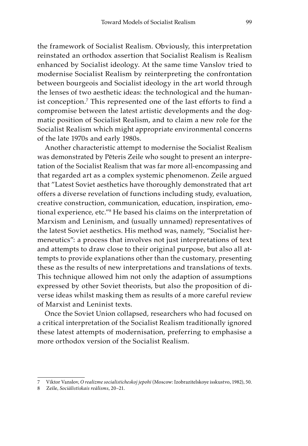the framework of Socialist Realism. Obviously, this interpretation reinstated an orthodox assertion that Socialist Realism is Realism enhanced by Socialist ideology. At the same time Vanslov tried to modernise Socialist Realism by reinterpreting the confrontation between bourgeois and Socialist ideology in the art world through the lenses of two aesthetic ideas: the technological and the humanist conception.7 This represented one of the last efforts to find a compromise between the latest artistic developments and the dogmatic position of Socialist Realism, and to claim a new role for the Socialist Realism which might appropriate environmental concerns of the late 1970s and early 1980s.

Another characteristic attempt to modernise the Socialist Realism was demonstrated by Pēteris Zeile who sought to present an interpretation of the Socialist Realism that was far more all-encompassing and that regarded art as a complex systemic phenomenon. Zeile argued that "Latest Soviet aesthetics have thoroughly demonstrated that art offers a diverse revelation of functions including study, evaluation, creative construction, communication, education, inspiration, emotional experience, etc."8 He based his claims on the interpretation of Marxism and Leninism, and (usually unnamed) representatives of the latest Soviet aesthetics. His method was, namely, "Socialist hermeneutics": a process that involves not just interpretations of text and attempts to draw close to their original purpose, but also all attempts to provide explanations other than the customary, presenting these as the results of new interpretations and translations of texts. This technique allowed him not only the adaption of assumptions expressed by other Soviet theorists, but also the proposition of diverse ideas whilst masking them as results of a more careful review of Marxist and Leninist texts.

Once the Soviet Union collapsed, researchers who had focused on a critical interpretation of the Socialist Realism traditionally ignored these latest attempts of modernisation, preferring to emphasise a more orthodox version of the Socialist Realism.

<sup>7</sup> Viktor Vanslov, *O realizme socialisticheskoj jepohi* (Moscow: Izobrazitelskoye isskustvo, 1982), 50.

<sup>8</sup> Zeile, *Sociālistiskais reālisms*, 20–21.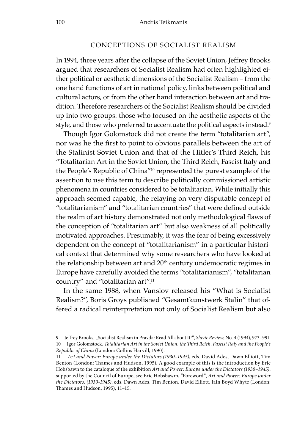#### Conceptions of Socialist Realism

In 1994, three years after the collapse of the Soviet Union, Jeffrey Brooks argued that researchers of Socialist Realism had often highlighted either political or aesthetic dimensions of the Socialist Realism – from the one hand functions of art in national policy, links between political and cultural actors, or from the other hand interaction between art and tradition. Therefore researchers of the Socialist Realism should be divided up into two groups: those who focused on the aesthetic aspects of the style, and those who preferred to accentuate the political aspects instead.<sup>9</sup>

Though Igor Golomstock did not create the term "totalitarian art", nor was he the first to point to obvious parallels between the art of the Stalinist Soviet Union and that of the Hitler's Third Reich, his "Totalitarian Art in the Soviet Union, the Third Reich, Fascist Italy and the People's Republic of China"10 represented the purest example of the assertion to use this term to describe politically commissioned artistic phenomena in countries considered to be totalitarian. While initially this approach seemed capable, the relaying on very disputable concept of "totalitarianism" and "totalitarian countries" that were defined outside the realm of art history demonstrated not only methodological flaws of the conception of "totalitarian art" but also weakness of all politically motivated approaches. Presumably, it was the fear of being excessively dependent on the concept of "totalitarianism" in a particular historical context that determined why some researchers who have looked at the relationship between art and 20<sup>th</sup> century undemocratic regimes in Europe have carefully avoided the terms "totalitarianism", "totalitarian country" and "totalitarian art".11

In the same 1988, when Vanslov released his "What is Socialist Realism?", Boris Groys published "Gesamtkunstwerk Stalin" that offered a radical reinterpretation not only of Socialist Realism but also

<sup>9</sup> Jeffrey Brooks, "Socialist Realism in Pravda: Read All about It!", *Slavic Review*, No. 4 (1994), 973-991. 10 Igor Golomstock, *Totalitarian Art in the Soviet Union, the Third Reich, Fascist Italy and the People's Republic of China* (London: Collins Harvill, 1990).

<sup>11</sup> *Art and Power: Europe under the Dictators (1930–1945)*, eds. David Ades, Dawn Elliott, Tim Benton (London: Thames and Hudson, 1995). A good example of this is the introduction by Eric Hobsbawn to the catalogue of the exhibition *Art and Power: Europe under the Dictators (1930–1945)*, supported by the Council of Europe, see Eric Hobsbawm, "Foreword", *Art and Power: Europe under the Dictators*, *(1930-1945)*, eds. Dawn Ades, Tim Benton, David Elliott, Iain Boyd Whyte (London: Thames and Hudson, 1995), 11–15.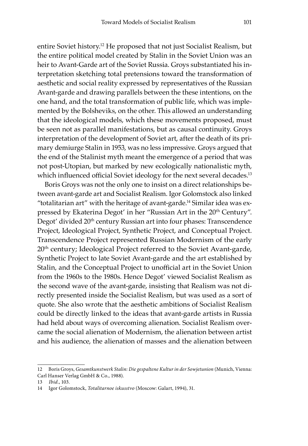entire Soviet history.12 He proposed that not just Socialist Realism, but the entire political model created by Stalin in the Soviet Union was an heir to Avant-Garde art of the Soviet Russia. Groys substantiated his interpretation sketching total pretensions toward the transformation of aesthetic and social reality expressed by representatives of the Russian Avant-garde and drawing parallels between the these intentions, on the one hand, and the total transformation of public life, which was implemented by the Bolsheviks, on the other. This allowed an understanding that the ideological models, which these movements proposed, must be seen not as parallel manifestations, but as causal continuity. Groys interpretation of the development of Soviet art, after the death of its primary demiurge Stalin in 1953, was no less impressive. Groys argued that the end of the Stalinist myth meant the emergence of a period that was not post-Utopian, but marked by new ecologically nationalistic myth, which influenced official Soviet ideology for the next several decades.<sup>13</sup>

Boris Groys was not the only one to insist on a direct relationships between avant-garde art and Socialist Realism. Igor Golomstock also linked "totalitarian art" with the heritage of avant-garde.<sup>14</sup> Similar idea was expressed by Ekaterina Degot' in her "Russian Art in the 20<sup>th</sup> Century". Degot' divided 20<sup>th</sup> century Russian art into four phases: Transcendence Project, Ideological Project, Synthetic Project, and Conceptual Project. Transcendence Project represented Russian Modernism of the early 20<sup>th</sup> century; Ideological Project referred to the Soviet Avant-garde, Synthetic Project to late Soviet Avant-garde and the art established by Stalin, and the Conceptual Project to unofficial art in the Soviet Union from the 1960s to the 1980s. Hence Degot' viewed Socialist Realism as the second wave of the avant-garde, insisting that Realism was not directly presented inside the Socialist Realism, but was used as a sort of quote. She also wrote that the aesthetic ambitions of Socialist Realism could be directly linked to the ideas that avant-garde artists in Russia had held about ways of overcoming alienation. Socialist Realism overcame the social alienation of Modernism, the alienation between artist and his audience, the alienation of masses and the alienation between

<sup>12</sup> Boris Groys, *Gesamtkunstwerk Stalin: Die gespaltene Kultur in der Sowjetunion* (Munich, Vienna: Carl Hanser Verlag GmbH & Co., 1988).

<sup>13</sup> *Ibid*., 103.

<sup>14</sup> Igor Golomstock, *Totalitarnoe iskusstvo* (Moscow: Galart, 1994), 31.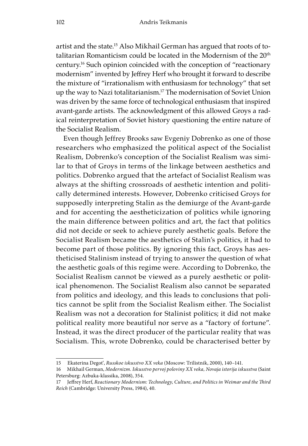artist and the state.15 Also Mikhail German has argued that roots of totalitarian Romanticism could be located in the Modernism of the 20<sup>th</sup> century.16 Such opinion coincided with the conception of "reactionary modernism" invented by Jeffrey Herf who brought it forward to describe the mixture of "irrationalism with enthusiasm for technology" that set up the way to Nazi totalitarianism.17 The modernisation of Soviet Union was driven by the same force of technological enthusiasm that inspired avant-garde artists. The acknowledgment of this allowed Groys a radical reinterpretation of Soviet history questioning the entire nature of the Socialist Realism.

Even though Jeffrey Brooks saw Evgeniy Dobrenko as one of those researchers who emphasized the political aspect of the Socialist Realism, Dobrenko's conception of the Socialist Realism was similar to that of Groys in terms of the linkage between aesthetics and politics. Dobrenko argued that the artefact of Socialist Realism was always at the shifting crossroads of aesthetic intention and politically determined interests. However, Dobrenko criticised Groys for supposedly interpreting Stalin as the demiurge of the Avant-garde and for accenting the aestheticization of politics while ignoring the main difference between politics and art, the fact that politics did not decide or seek to achieve purely aesthetic goals. Before the Socialist Realism became the aesthetics of Stalin's politics, it had to become part of those politics. By ignoring this fact, Groys has aestheticised Stalinism instead of trying to answer the question of what the aesthetic goals of this regime were. According to Dobrenko, the Socialist Realism cannot be viewed as a purely aesthetic or political phenomenon. The Socialist Realism also cannot be separated from politics and ideology, and this leads to conclusions that politics cannot be split from the Socialist Realism either. The Socialist Realism was not a decoration for Stalinist politics; it did not make political reality more beautiful nor serve as a "factory of fortune". Instead, it was the direct producer of the particular reality that was Socialism. This, wrote Dobrenko, could be characterised better by

<sup>15</sup> Ekaterina Degot', *Russkoe iskusstvo XX veka* (Moscow: Trilistnik, 2000), 140–141.

<sup>16</sup> Mikhail German, *Modernizm. Iskusstvo pervoj poloviny XX veka, Novaja istorija iskusstva* (Saint Petersburg: Azbuka-klassika, 2008), 354.

<sup>17</sup> Jeffrey Herf, *Reactionary Modernism: Technology, Culture, and Politics in Weimar and the Third Reich* (Cambridge: University Press, 1984), 40.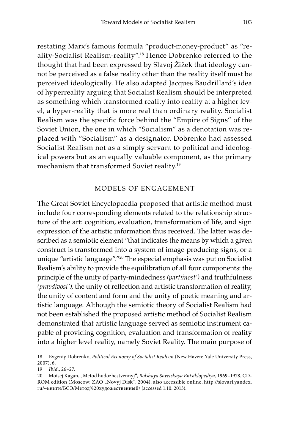restating Marx's famous formula "product-money-product" as "reality-Socialist Realism-reality".18 Hence Dobrenko referred to the thought that had been expressed by Slavoj Žižek that ideology cannot be perceived as a false reality other than the reality itself must be perceived ideologically. He also adapted Jacques Baudrillard's idea of hyperreality arguing that Socialist Realism should be interpreted as something which transformed reality into reality at a higher level, a hyper-reality that is more real than ordinary reality. Socialist Realism was the specific force behind the "Empire of Signs" of the Soviet Union, the one in which "Socialism" as a denotation was replaced with "Socialism" as a designator. Dobrenko had assessed Socialist Realism not as a simply servant to political and ideological powers but as an equally valuable component, as the primary mechanism that transformed Soviet reality.19

### Models of engagement

The Great Soviet Encyclopaedia proposed that artistic method must include four corresponding elements related to the relationship structure of the art: cognition, evaluation, transformation of life, and sign expression of the artistic information thus received. The latter was described as a semiotic element "that indicates the means by which a given construct is transformed into a system of image-producing signs, or a unique "artistic language"."20 The especial emphasis was put on Socialist Realism's ability to provide the equilibration of all four components: the principle of the unity of party-mindedness *(partiinost')* and truthfulness *(pravdivost')*, the unity of reflection and artistic transformation of reality, the unity of content and form and the unity of poetic meaning and artistic language. Although the semiotic theory of Socialist Realism had not been established the proposed artistic method of Socialist Realism demonstrated that artistic language served as semiotic instrument capable of providing cognition, evaluation and transformation of reality into a higher level reality, namely Soviet Reality. The main purpose of

<sup>18</sup> Evgeniy Dobrenko, *Political Economy of Socialist Realism* (New Haven: Yale University Press, 2007), 6.

<sup>19</sup> *Ibid*., 26–27.

<sup>20</sup> Moisej Kagan, "Metod hudozhestvennyj", *Bolshaya Sovetskaya Entsiklopediya*, 1969–1978, CD-ROM edition (Moscow: ZAO "Novyj Disk", 2004), also accessible online, http://slovari.yandex. ru/~книги/БСЭ/Метод%20художественный/ (accessed 1.10. 2013).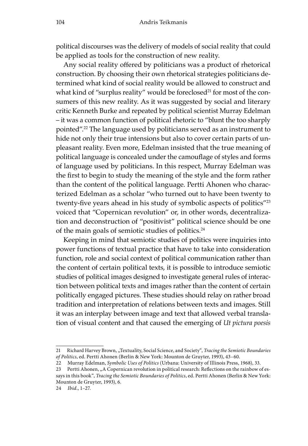political discourses was the delivery of models of social reality that could be applied as tools for the construction of new reality.

Any social reality offered by politicians was a product of rhetorical construction. By choosing their own rhetorical strategies politicians determined what kind of social reality would be allowed to construct and what kind of "surplus reality" would be foreclosed<sup>21</sup> for most of the consumers of this new reality. As it was suggested by social and literary critic Kenneth Burke and repeated by political scientist Murray Edelman – it was a common function of political rhetoric to "blunt the too sharply pointed".22 The language used by politicians served as an instrument to hide not only their true intensions but also to cover certain parts of unpleasant reality. Even more, Edelman insisted that the true meaning of political language is concealed under the camouflage of styles and forms of language used by politicians. In this respect, Murray Edelman was the first to begin to study the meaning of the style and the form rather than the content of the political language. Pertti Ahonen who characterized Edelman as a scholar "who turned out to have been twenty to twenty-five years ahead in his study of symbolic aspects of politics"<sup>23</sup> voiced that "Copernican revolution" or, in other words, decentralization and deconstruction of "positivist" political science should be one of the main goals of semiotic studies of politics.<sup>24</sup>

Keeping in mind that semiotic studies of politics were inquiries into power functions of textual practice that have to take into consideration function, role and social context of political communication rather than the content of certain political texts, it is possible to introduce semiotic studies of political images designed to investigate general rules of interaction between political texts and images rather than the content of certain politically engaged pictures. These studies should relay on rather broad tradition and interpretation of relations between texts and images. Still it was an interplay between image and text that allowed verbal translation of visual content and that caused the emerging of *Ut pictura poesis*

<sup>21</sup> Richard Harvey Brown, "Textuality, Social Science, and Society", *Tracing the Semiotic Boundaries of Politics*, ed. Pertti Ahonen (Berlin & New York: Mounton de Gruyter, 1993), 43–60.

<sup>22</sup> Murray Edelman, *Symbolic Uses of Politics* (Urbana: University of Illinois Press, 1968), 33.

<sup>23</sup> Pertti Ahonen, "A Copernican revolution in political research: Reflections on the rainbow of essays in this book", *Tracing the Semiotic Boundaries of Politics*, ed. Pertti Ahonen (Berlin & New York: Mounton de Gruyter, 1993), 6.

<sup>24</sup> *Ibid*., 1–27.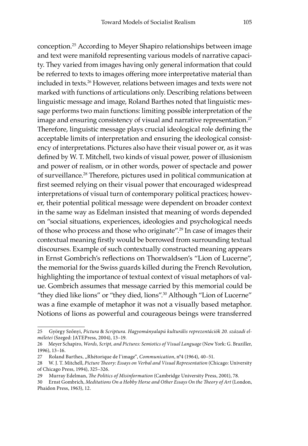conception.25 According to Meyer Shapiro relationships between image and text were manifold representing various models of narrative capacity. They varied from images having only general information that could be referred to texts to images offering more interpretative material than included in texts.26 However, relations between images and texts were not marked with functions of articulations only. Describing relations between linguistic message and image, Roland Barthes noted that linguistic message performs two main functions: limiting possible interpretation of the image and ensuring consistency of visual and narrative representation.<sup>27</sup> Therefore, linguistic message plays crucial ideological role defining the acceptable limits of interpretation and ensuring the ideological consistency of interpretations. Pictures also have their visual power or, as it was defined by W. T. Mitchell, two kinds of visual power, power of illusionism and power of realism, or in other words, power of spectacle and power of surveillance.28 Therefore, pictures used in political communication at first seemed relying on their visual power that encouraged widespread interpretations of visual turn of contemporary political practices; however, their potential political message were dependent on broader context in the same way as Edelman insisted that meaning of words depended on "social situations, experiences, ideologies and psychological needs of those who process and those who originate".<sup>29</sup> In case of images their contextual meaning firstly would be borrowed from surrounding textual discourses. Example of such contextually constructed meaning appears in Ernst Gombrich's reflections on Thorwaldsen's "Lion of Lucerne", the memorial for the Swiss guards killed during the French Revolution, highlighting the importance of textual context of visual metaphors of value. Gombrich assumes that message carried by this memorial could be "they died like lions" or "they died, lions".30 Although "Lion of Lucerne" was a fine example of metaphor it was not a visually based metaphor. Notions of lions as powerful and courageous beings were transferred

<sup>25</sup> György Szőnyi, *Pictura* & *Scriptura. Hagyományalapú kulturális reprezentációk 20. századi elméletei* (Szeged: JATEPress, 2004), 13–19.

<sup>26</sup> Meyer Schapiro, *Words, Script, and Pictures: Semiotics of Visual Language* (New York: G. Braziller, 1996), 13–16.

<sup>27</sup> Roland Barthes, "Rhétorique de l'image", *Communication*, n°4 (1964), 40–51.

<sup>28</sup> W. J. T. Mitchell, *Picture Theory: Essays on Verbal and Visual Representation* (Chicago: University of Chicago Press, 1994), 325–326.

<sup>29</sup> Murray Edelman, *The Politics of Misinformation* (Cambridge University Press, 2001), 78.

<sup>30</sup> Ernst Gombrich, *Meditations On a Hobby Horse and Other Essays On the Theory of Art* (London, Phaidon Press, 1963), 12.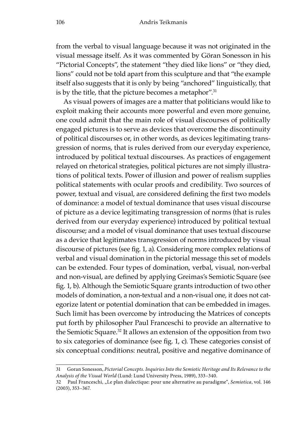from the verbal to visual language because it was not originated in the visual message itself. As it was commented by Göran Sonesson in his "Pictorial Concepts", the statement "they died like lions" or "they died, lions" could not be told apart from this sculpture and that "the example itself also suggests that it is only by being "anchored" linguistically, that is by the title, that the picture becomes a metaphor".<sup>31</sup>

As visual powers of images are a matter that politicians would like to exploit making their accounts more powerful and even more genuine, one could admit that the main role of visual discourses of politically engaged pictures is to serve as devices that overcome the discontinuity of political discourses or, in other words, as devices legitimating transgression of norms, that is rules derived from our everyday experience, introduced by political textual discourses. As practices of engagement relayed on rhetorical strategies, political pictures are not simply illustrations of political texts. Power of illusion and power of realism supplies political statements with ocular proofs and credibility. Two sources of power, textual and visual, are considered defining the first two models of dominance: a model of textual dominance that uses visual discourse of picture as a device legitimating transgression of norms (that is rules derived from our everyday experience) introduced by political textual discourse; and a model of visual dominance that uses textual discourse as a device that legitimates transgression of norms introduced by visual discourse of pictures (see fig. 1, a). Considering more complex relations of verbal and visual domination in the pictorial message this set of models can be extended. Four types of domination, verbal, visual, non-verbal and non-visual, are defined by applying Greimas's Semiotic Square (see fig. 1, b). Although the Semiotic Square grants introduction of two other models of domination, a non-textual and a non-visual one, it does not categorize latent or potential domination that can be embedded in images. Such limit has been overcome by introducing the Matrices of concepts put forth by philosopher Paul Franceschi to provide an alternative to the Semiotic Square.<sup>32</sup> It allows an extension of the opposition from two to six categories of dominance (see fig. 1, c). These categories consist of six conceptual conditions: neutral, positive and negative dominance of

<sup>31</sup> Goran Sonesson, *Pictorial Concepts. Inquiries Into the Semiotic Heritage and Its Relevance to the Analysis of the Visual World* (Lund: Lund University Press, 1989), 333–340.

<sup>32</sup> Paul Franceschi, "Le plan dialectique: pour une alternative au paradigme", *Semiotica*, vol. 146 (2003), 353–367.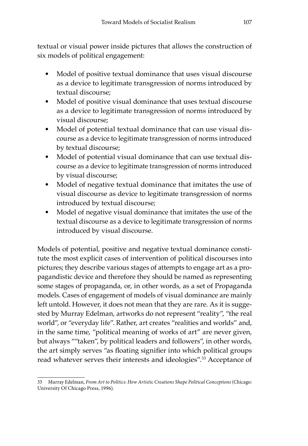textual or visual power inside pictures that allows the construction of six models of political engagement:

- Model of positive textual dominance that uses visual discourse as a device to legitimate transgression of norms introduced by textual discourse;
- Model of positive visual dominance that uses textual discourse as a device to legitimate transgression of norms introduced by visual discourse;
- Model of potential textual dominance that can use visual discourse as a device to legitimate transgression of norms introduced by textual discourse;
- Model of potential visual dominance that can use textual discourse as a device to legitimate transgression of norms introduced by visual discourse;
- Model of negative textual dominance that imitates the use of visual discourse as device to legitimate transgression of norms introduced by textual discourse;
- Model of negative visual dominance that imitates the use of the textual discourse as a device to legitimate transgression of norms introduced by visual discourse.

Models of potential, positive and negative textual dominance constitute the most explicit cases of intervention of political discourses into pictures; they describe various stages of attempts to engage art as a propagandistic device and therefore they should be named as representing some stages of propaganda, or, in other words, as a set of Propaganda models. Cases of engagement of models of visual dominance are mainly left untold. However, it does not mean that they are rare. As it is suggested by Murray Edelman, artworks do not represent "reality", "the real world", or "everyday life". Rather, art creates "realities and worlds" and, in the same time, "political meaning of works of art" are never given, but always ""taken", by political leaders and followers", in other words, the art simply serves "as floating signifier into which political groups read whatever serves their interests and ideologies".<sup>33</sup> Acceptance of

<sup>33</sup> Murray Edelman, *From Art to Politics: How Artistic Creations Shape Political Conceptions* (Chicago: University Of Chicago Press, 1996).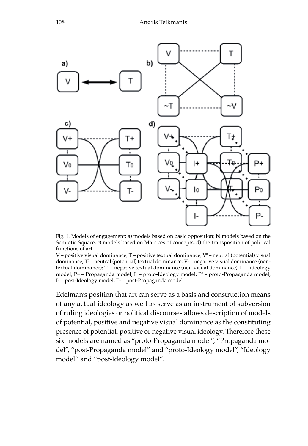

Fig. 1. Models of engagement: a) models based on basic opposition; b) models based on the Semiotic Square; c) models based on Matrices of concepts; d) the transposition of political functions of art.

V – positive visual dominance; T – positive textual dominance; Vº – neutral (potential) visual dominance; Tº – neutral (potential) textual dominance; V- – negative visual dominance (nontextual dominance); T- – negative textual dominance (non-visual dominance); I+ – ideology model; P+ – Propaganda model; Iº – proto-Ideology model; Pº – proto-Propaganda model; I- – post-Ideology model; P- – post-Propaganda model

Edelman's position that art can serve as a basis and construction means of any actual ideology as well as serve as an instrument of subversion of ruling ideologies or political discourses allows description of models of potential, positive and negative visual dominance as the constituting presence of potential, positive or negative visual ideology. Therefore these six models are named as "proto-Propaganda model", "Propaganda model", "post-Propaganda model" and "proto-Ideology model", "Ideology model" and "post-Ideology model".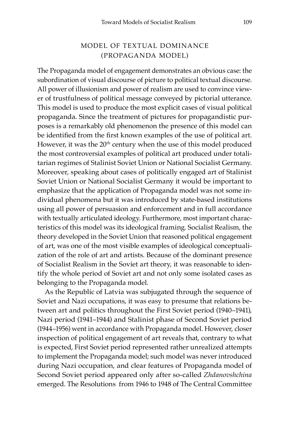## Model of textual dominance (Propaganda model)

The Propaganda model of engagement demonstrates an obvious case: the subordination of visual discourse of picture to political textual discourse. All power of illusionism and power of realism are used to convince viewer of trustfulness of political message conveyed by pictorial utterance. This model is used to produce the most explicit cases of visual political propaganda. Since the treatment of pictures for propagandistic purposes is a remarkably old phenomenon the presence of this model can be identified from the first known examples of the use of political art. However, it was the 20<sup>th</sup> century when the use of this model produced the most controversial examples of political art produced under totalitarian regimes of Stalinist Soviet Union or National Socialist Germany. Moreover, speaking about cases of politically engaged art of Stalinist Soviet Union or National Socialist Germany it would be important to emphasize that the application of Propaganda model was not some individual phenomena but it was introduced by state-based institutions using all power of persuasion and enforcement and in full accordance with textually articulated ideology. Furthermore, most important characteristics of this model was its ideological framing. Socialist Realism, the theory developed in the Soviet Union that reasoned political engagement of art, was one of the most visible examples of ideological conceptualization of the role of art and artists. Because of the dominant presence of Socialist Realism in the Soviet art theory, it was reasonable to identify the whole period of Soviet art and not only some isolated cases as belonging to the Propaganda model.

As the Republic of Latvia was subjugated through the sequence of Soviet and Nazi occupations, it was easy to presume that relations between art and politics throughout the First Soviet period (1940–1941), Nazi period (1941–1944) and Stalinist phase of Second Soviet period (1944–1956) went in accordance with Propaganda model. However, closer inspection of political engagement of art reveals that, contrary to what is expected, First Soviet period represented rather unrealized attempts to implement the Propaganda model; such model was never introduced during Nazi occupation, and clear features of Propaganda model of Second Soviet period appeared only after so-called *Zhdanovshchina* emerged. The Resolutions from 1946 to 1948 of The Central Committee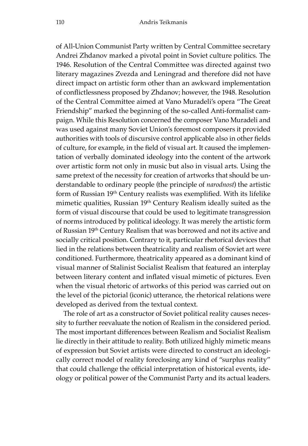of All-Union Communist Party written by Central Committee secretary Andrei Zhdanov marked a pivotal point in Soviet culture politics. The 1946. Resolution of the Central Committee was directed against two literary magazines Zvezda and Leningrad and therefore did not have direct impact on artistic form other than an awkward implementation of conflictlessness proposed by Zhdanov; however, the 1948. Resolution of the Central Committee aimed at Vano Muradeli's opera "The Great Friendship" marked the beginning of the so-called Anti-formalist campaign. While this Resolution concerned the composer Vano Muradeli and was used against many Soviet Union's foremost composers it provided authorities with tools of discursive control applicable also in other fields of culture, for example, in the field of visual art. It caused the implementation of verbally dominated ideology into the content of the artwork over artistic form not only in music but also in visual arts. Using the same pretext of the necessity for creation of artworks that should be understandable to ordinary people (the principle of *narodnost*) the artistic form of Russian 19th Century realists was exemplified. With its lifelike mimetic qualities, Russian 19<sup>th</sup> Century Realism ideally suited as the form of visual discourse that could be used to legitimate transgression of norms introduced by political ideology. It was merely the artistic form of Russian 19th Century Realism that was borrowed and not its active and socially critical position. Contrary to it, particular rhetorical devices that lied in the relations between theatricality and realism of Soviet art were conditioned. Furthermore, theatricality appeared as a dominant kind of visual manner of Stalinist Socialist Realism that featured an interplay between literary content and inflated visual mimetic of pictures. Even when the visual rhetoric of artworks of this period was carried out on the level of the pictorial (iconic) utterance, the rhetorical relations were developed as derived from the textual context.

The role of art as a constructor of Soviet political reality causes necessity to further reevaluate the notion of Realism in the considered period. The most important differences between Realism and Socialist Realism lie directly in their attitude to reality. Both utilized highly mimetic means of expression but Soviet artists were directed to construct an ideologically correct model of reality foreclosing any kind of "surplus reality" that could challenge the official interpretation of historical events, ideology or political power of the Communist Party and its actual leaders.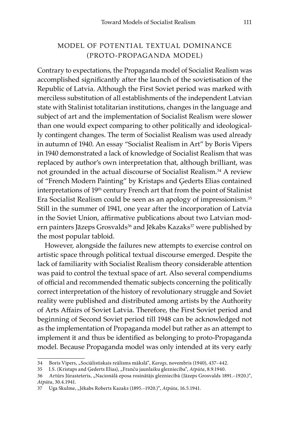## Model of potential textual dominance (proto-Propaganda model)

Contrary to expectations, the Propaganda model of Socialist Realism was accomplished significantly after the launch of the sovietisation of the Republic of Latvia. Although the First Soviet period was marked with merciless substitution of all establishments of the independent Latvian state with Stalinist totalitarian institutions, changes in the language and subject of art and the implementation of Socialist Realism were slower than one would expect comparing to other politically and ideologically contingent changes. The term of Socialist Realism was used already in autumn of 1940. An essay "Socialist Realism in Art" by Boris Vipers in 1940 demonstrated a lack of knowledge of Socialist Realism that was replaced by author's own interpretation that, although brilliant, was not grounded in the actual discourse of Socialist Realism.34 A review of "French Modern Painting" by Kristaps and Ģederts Elias contained interpretations of 19th century French art that from the point of Stalinist Era Socialist Realism could be seen as an apology of impressionism.<sup>35</sup> Still in the summer of 1941, one year after the incorporation of Latvia in the Soviet Union, affirmative publications about two Latvian modern painters Jāzeps Grosvalds<sup>36</sup> and Jēkabs Kazaks<sup>37</sup> were published by the most popular tabloid.

However, alongside the failures new attempts to exercise control on artistic space through political textual discourse emerged. Despite the lack of familiarity with Socialist Realism theory considerable attention was paid to control the textual space of art. Also several compendiums of official and recommended thematic subjects concerning the politically correct interpretation of the history of revolutionary struggle and Soviet reality were published and distributed among artists by the Authority of Arts Affairs of Soviet Latvia. Therefore, the First Soviet period and beginning of Second Soviet period till 1948 can be acknowledged not as the implementation of Propaganda model but rather as an attempt to implement it and thus be identified as belonging to proto-Propaganda model. Because Propaganda model was only intended at its very early

<sup>34</sup> Boris Vipers, "Sociālistiskais reālisms mākslā", *Karogs*, novembris (1940), 437–442.

<sup>35</sup> I.S. (Kristaps and Ģederts Elias), "Franču jaunlaiku glezniecība", *Atpūta*, 8.9.1940.

<sup>36</sup> Artūrs Jūrasteteris, "Nacionālā eposa rosinātājs glezniecībā (Jāzeps Grosvalds 1891.–1920.)", *Atpūta*, 30.4.1941.

<sup>37</sup> Uga Skulme, "Jēkabs Roberts Kazaks (1895.–1920.)", *Atpūta*, 16.5.1941.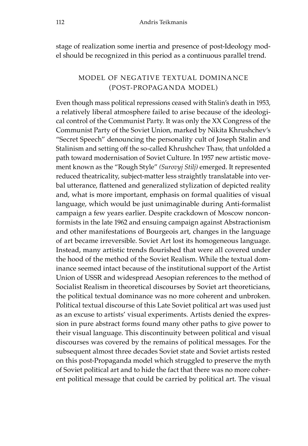stage of realization some inertia and presence of post-Ideology model should be recognized in this period as a continuous parallel trend.

## Model of negative textual dominance (post-Propaganda model)

Even though mass political repressions ceased with Stalin's death in 1953, a relatively liberal atmosphere failed to arise because of the ideological control of the Communist Party. It was only the XX Congress of the Communist Party of the Soviet Union, marked by Nikita Khrushchev's "Secret Speech" denouncing the personality cult of Joseph Stalin and Stalinism and setting off the so-called Khrushchev Thaw, that unfolded a path toward modernisation of Soviet Culture. In 1957 new artistic movement known as the "Rough Style" *(Surovyj Stilj)* emerged. It represented reduced theatricality, subject-matter less straightly translatable into verbal utterance, flattened and generalized stylization of depicted reality and, what is more important, emphasis on formal qualities of visual language, which would be just unimaginable during Anti-formalist campaign a few years earlier. Despite crackdown of Moscow nonconformists in the late 1962 and ensuing campaign against Abstractionism and other manifestations of Bourgeois art, changes in the language of art became irreversible. Soviet Art lost its homogeneous language. Instead, many artistic trends flourished that were all covered under the hood of the method of the Soviet Realism. While the textual dominance seemed intact because of the institutional support of the Artist Union of USSR and widespread Aesopian references to the method of Socialist Realism in theoretical discourses by Soviet art theoreticians, the political textual dominance was no more coherent and unbroken. Political textual discourse of this Late Soviet political art was used just as an excuse to artists' visual experiments. Artists denied the expression in pure abstract forms found many other paths to give power to their visual language. This discontinuity between political and visual discourses was covered by the remains of political messages. For the subsequent almost three decades Soviet state and Soviet artists rested on this post-Propaganda model which struggled to preserve the myth of Soviet political art and to hide the fact that there was no more coherent political message that could be carried by political art. The visual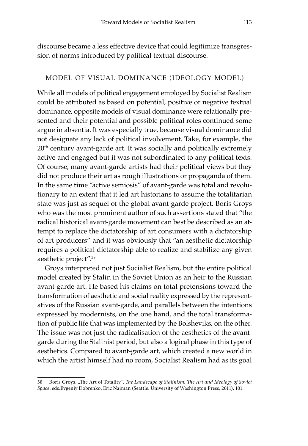discourse became a less effective device that could legitimize transgression of norms introduced by political textual discourse.

#### Model of visual dominance (Ideology model)

While all models of political engagement employed by Socialist Realism could be attributed as based on potential, positive or negative textual dominance, opposite models of visual dominance were relationally presented and their potential and possible political roles continued some argue in absentia. It was especially true, because visual dominance did not designate any lack of political involvement. Take, for example, the 20<sup>th</sup> century avant-garde art. It was socially and politically extremely active and engaged but it was not subordinated to any political texts. Of course, many avant-garde artists had their political views but they did not produce their art as rough illustrations or propaganda of them. In the same time "active semiosis" of avant-garde was total and revolutionary to an extent that it led art historians to assume the totalitarian state was just as sequel of the global avant-garde project. Boris Groys who was the most prominent author of such assertions stated that "the radical historical avant-garde movement can best be described as an attempt to replace the dictatorship of art consumers with a dictatorship of art producers" and it was obviously that "an aesthetic dictatorship requires a political dictatorship able to realize and stabilize any given aesthetic project".<sup>38</sup>

Groys interpreted not just Socialist Realism, but the entire political model created by Stalin in the Soviet Union as an heir to the Russian avant-garde art. He based his claims on total pretensions toward the transformation of aesthetic and social reality expressed by the representatives of the Russian avant-garde, and parallels between the intentions expressed by modernists, on the one hand, and the total transformation of public life that was implemented by the Bolsheviks, on the other. The issue was not just the radicalisation of the aesthetics of the avantgarde during the Stalinist period, but also a logical phase in this type of aesthetics. Compared to avant-garde art, which created a new world in which the artist himself had no room, Socialist Realism had as its goal

<sup>38</sup> Boris Groys, "The Art of Totality", *The Landscape of Stalinism: The Art and Ideology of Soviet Space*, eds.Evgeniy Dobrenko, Eric Naiman (Seattle: University of Washington Press, 2011), 101.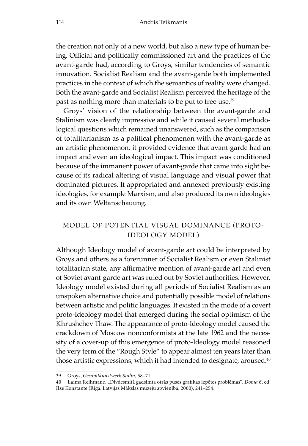the creation not only of a new world, but also a new type of human being. Official and politically commissioned art and the practices of the avant-garde had, according to Groys, similar tendencies of semantic innovation. Socialist Realism and the avant-garde both implemented practices in the context of which the semantics of reality were changed. Both the avant-garde and Socialist Realism perceived the heritage of the past as nothing more than materials to be put to free use.<sup>39</sup>

Groys' vision of the relationship between the avant-garde and Stalinism was clearly impressive and while it caused several methodological questions which remained unanswered, such as the comparison of totalitarianism as a political phenomenon with the avant-garde as an artistic phenomenon, it provided evidence that avant-garde had an impact and even an ideological impact. This impact was conditioned because of the immanent power of avant-garde that came into sight because of its radical altering of visual language and visual power that dominated pictures. It appropriated and annexed previously existing ideologies, for example Marxism, and also produced its own ideologies and its own Weltanschauung.

## Model of potential visual dominance (proto-Ideology model)

Although Ideology model of avant-garde art could be interpreted by Groys and others as a forerunner of Socialist Realism or even Stalinist totalitarian state, any affirmative mention of avant-garde art and even of Soviet avant-garde art was ruled out by Soviet authorities. However, Ideology model existed during all periods of Socialist Realism as an unspoken alternative choice and potentially possible model of relations between artistic and politic languages. It existed in the mode of a covert proto-Ideology model that emerged during the social optimism of the Khrushchev Thaw. The appearance of proto-Ideology model caused the crackdown of Moscow nonconformists at the late 1962 and the necessity of a cover-up of this emergence of proto-Ideology model reasoned the very term of the "Rough Style" to appear almost ten years later than those artistic expressions, which it had intended to designate, aroused.<sup>40</sup>

<sup>39</sup> Groys, *Gesamtkunstwerk Stalin*, 58–71.

<sup>40</sup> Laima Reihmane, "Divdesmitā gadsimta otrās puses grafikas izpētes problēmas", *Doma 6*, ed. Ilze Konstante (Riga, Latvijas Mākslas muzeju apvienība, 2000), 241–254.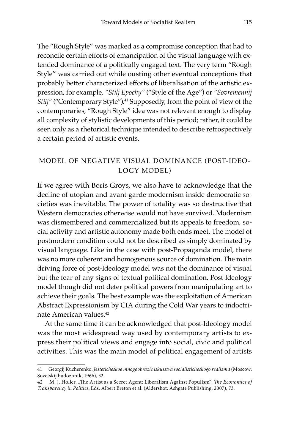The "Rough Style" was marked as a compromise conception that had to reconcile certain efforts of emancipation of the visual language with extended dominance of a politically engaged text. The very term "Rough Style" was carried out while ousting other eventual conceptions that probably better characterized efforts of liberalisation of the artistic expression, for example, *"Stilj Epochy"* ("Style of the Age") or *"Sovremennij Stilj"* ("Contemporary Style").<sup>41</sup> Supposedly, from the point of view of the contemporaries, "Rough Style" idea was not relevant enough to display all complexity of stylistic developments of this period; rather, it could be seen only as a rhetorical technique intended to describe retrospectively a certain period of artistic events.

## Model of negative visual dominance (post-Ideology model)

If we agree with Boris Groys, we also have to acknowledge that the decline of utopian and avant-garde modernism inside democratic societies was inevitable. The power of totality was so destructive that Western democracies otherwise would not have survived. Modernism was dismembered and commercialized but its appeals to freedom, social activity and artistic autonomy made both ends meet. The model of postmodern condition could not be described as simply dominated by visual language. Like in the case with post-Propaganda model, there was no more coherent and homogenous source of domination. The main driving force of post-Ideology model was not the dominance of visual but the fear of any signs of textual political domination. Post-Ideology model though did not deter political powers from manipulating art to achieve their goals. The best example was the exploitation of American Abstract Expressionism by CIA during the Cold War years to indoctrinate American values.42

At the same time it can be acknowledged that post-Ideology model was the most widespread way used by contemporary artists to express their political views and engage into social, civic and political activities. This was the main model of political engagement of artists

<sup>41</sup> Georgij Kucherenko, *Jesteticheskoe mnogoobrazie iskusstva socialisticheskogo realizma* (Moscow: Sovetskij hudozhnik, 1966), 32.

<sup>42</sup> M. J. Holler, "The Artist as a Secret Agent: Liberalism Against Populism", *The Economics of Transparency in Politics*, Eds. Albert Breton et al. (Aldershot: Ashgate Publishing, 2007), 73.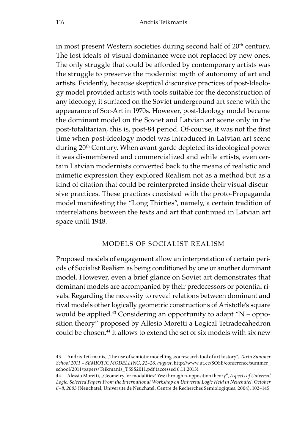in most present Western societies during second half of 20<sup>th</sup> century. The lost ideals of visual dominance were not replaced by new ones. The only struggle that could be afforded by contemporary artists was the struggle to preserve the modernist myth of autonomy of art and artists. Evidently, because skeptical discursive practices of post-Ideology model provided artists with tools suitable for the deconstruction of any ideology, it surfaced on the Soviet underground art scene with the appearance of Soc-Art in 1970s. However, post-Ideology model became the dominant model on the Soviet and Latvian art scene only in the post-totalitarian, this is, post-84 period. Of-course, it was not the first time when post-Ideology model was introduced in Latvian art scene during 20<sup>th</sup> Century. When avant-garde depleted its ideological power it was dismembered and commercialized and while artists, even certain Latvian modernists converted back to the means of realistic and mimetic expression they explored Realism not as a method but as a kind of citation that could be reinterpreted inside their visual discursive practices. These practices coexisted with the proto-Propaganda model manifesting the "Long Thirties", namely, a certain tradition of interrelations between the texts and art that continued in Latvian art space until 1948.

#### Models of Socialist Realism

Proposed models of engagement allow an interpretation of certain periods of Socialist Realism as being conditioned by one or another dominant model. However, even a brief glance on Soviet art demonstrates that dominant models are accompanied by their predecessors or potential rivals. Regarding the necessity to reveal relations between dominant and rival models other logically geometric constructions of Aristotle's square would be applied.<sup>43</sup> Considering an opportunity to adapt "N – opposition theory" proposed by Allesio Moretti a Logical Tetradecahedron could be chosen.<sup>44</sup> It allows to extend the set of six models with six new

<sup>43</sup> Andris Teikmanis, "The use of semiotic modelling as a research tool of art history", *Tartu Summer School 2011 – SEMIOTIC MODELLING, 22–26. august*, http://www.ut.ee/SOSE/conference/summer\_ school/2011/papers/Teikmanis\_TSSS2011.pdf (accessed 6.11.2013).

<sup>44</sup> Alessio Moretti, "Geometry for modalities? Yes: through n-opposition theory", *Aspects of Universal Logic. Selected Papers From the International Workshop on Universal Logic Held in Neuchatel, October 6–8, 2003* (Neuchatel, Universite de Neuchatel, Centre de Recherches Semiologiques, 2004), 102–145.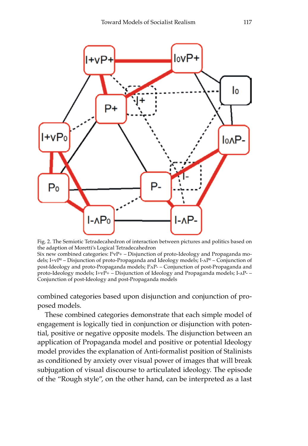

Fig. 2. The Semiotic Tetradecahedron of interaction between pictures and politics based on the adaption of Moretti's Logical Tetradecahedron

Six new combined categories: I $^{\rm 0}$ vP+ – Disjunction of proto-Ideology and Propaganda models; I+vPº – Disjunction of proto-Propaganda and Ideology models; I-∧Pº – Conjunction of post-Ideology and proto-Propaganda models; Iº^P- – Conjunction of post-Propaganda and proto-Ideology models;  $I+vP+-$  Disjunction of Ideology and Propaganda models;  $I-A$ P $-$ Conjunction of post-Ideology and post-Propaganda models

combined categories based upon disjunction and conjunction of proposed models.

These combined categories demonstrate that each simple model of engagement is logically tied in conjunction or disjunction with potential, positive or negative opposite models. The disjunction between an application of Propaganda model and positive or potential Ideology model provides the explanation of Anti-formalist position of Stalinists as conditioned by anxiety over visual power of images that will break subjugation of visual discourse to articulated ideology. The episode of the "Rough style", on the other hand, can be interpreted as a last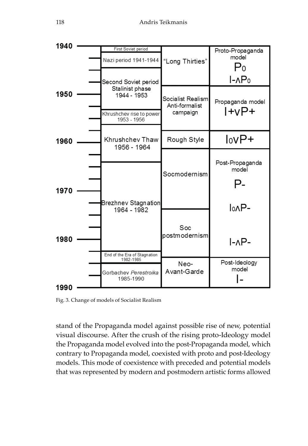

Fig. 3. Change of models of Socialist Realism

stand of the Propaganda model against possible rise of new, potential visual discourse. After the crush of the rising proto-Ideology model the Propaganda model evolved into the post-Propaganda model, which contrary to Propaganda model, coexisted with proto and post-Ideology models. This mode of coexistence with preceded and potential models that was represented by modern and postmodern artistic forms allowed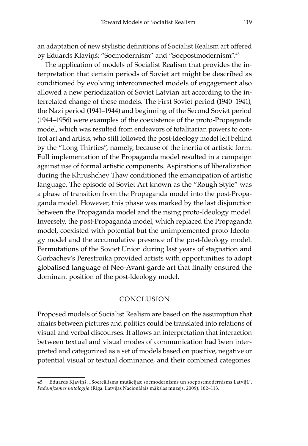an adaptation of new stylistic definitions of Socialist Realism art offered by Eduards Klaviņš: "Socmodernism" and "Socpostmodernism".<sup>45</sup>

The application of models of Socialist Realism that provides the interpretation that certain periods of Soviet art might be described as conditioned by evolving interconnected models of engagement also allowed a new periodization of Soviet Latvian art according to the interrelated change of these models. The First Soviet period (1940–1941), the Nazi period (1941–1944) and beginning of the Second Soviet period (1944–1956) were examples of the coexistence of the proto-Propaganda model, which was resulted from endeavors of totalitarian powers to control art and artists, who still followed the post-Ideology model left behind by the "Long Thirties", namely, because of the inertia of artistic form. Full implementation of the Propaganda model resulted in a campaign against use of formal artistic components. Aspirations of liberalization during the Khrushchev Thaw conditioned the emancipation of artistic language. The episode of Soviet Art known as the "Rough Style" was a phase of transition from the Propaganda model into the post-Propaganda model. However, this phase was marked by the last disjunction between the Propaganda model and the rising proto-Ideology model. Inversely, the post-Propaganda model, which replaced the Propaganda model, coexisted with potential but the unimplemented proto-Ideology model and the accumulative presence of the post-Ideology model. Permutations of the Soviet Union during last years of stagnation and Gorbachev's Perestroika provided artists with opportunities to adopt globalised language of Neo-Avant-garde art that finally ensured the dominant position of the post-Ideology model.

#### Conclusion

Proposed models of Socialist Realism are based on the assumption that affairs between pictures and politics could be translated into relations of visual and verbal discourses. It allows an interpretation that interaction between textual and visual modes of communication had been interpreted and categorized as a set of models based on positive, negative or potential visual or textual dominance, and their combined categories.

<sup>45</sup> Eduards Kļaviņš, "Socreālisma mutācijas: socmodernisms un socpostmodernisms Latvijā", *Padomjzemes mitoloģija* (Riga: Latvijas Nacionālais mākslas muzejs, 2009), 102–113.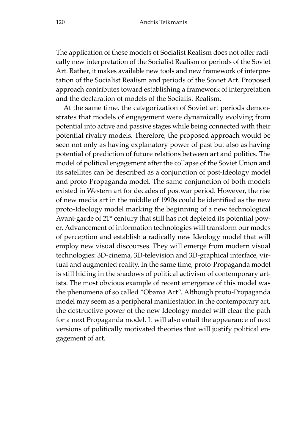The application of these models of Socialist Realism does not offer radically new interpretation of the Socialist Realism or periods of the Soviet Art. Rather, it makes available new tools and new framework of interpretation of the Socialist Realism and periods of the Soviet Art. Proposed approach contributes toward establishing a framework of interpretation and the declaration of models of the Socialist Realism.

At the same time, the categorization of Soviet art periods demonstrates that models of engagement were dynamically evolving from potential into active and passive stages while being connected with their potential rivalry models. Therefore, the proposed approach would be seen not only as having explanatory power of past but also as having potential of prediction of future relations between art and politics. The model of political engagement after the collapse of the Soviet Union and its satellites can be described as a conjunction of post-Ideology model and proto-Propaganda model. The same conjunction of both models existed in Western art for decades of postwar period. However, the rise of new media art in the middle of 1990s could be identified as the new proto-Ideology model marking the beginning of a new technological Avant-garde of 21<sup>st</sup> century that still has not depleted its potential power. Advancement of information technologies will transform our modes of perception and establish a radically new Ideology model that will employ new visual discourses. They will emerge from modern visual technologies: 3D-cinema, 3D-television and 3D-graphical interface, virtual and augmented reality. In the same time, proto-Propaganda model is still hiding in the shadows of political activism of contemporary artists. The most obvious example of recent emergence of this model was the phenomena of so called "Obama Art". Although proto-Propaganda model may seem as a peripheral manifestation in the contemporary art, the destructive power of the new Ideology model will clear the path for a next Propaganda model. It will also entail the appearance of next versions of politically motivated theories that will justify political engagement of art.